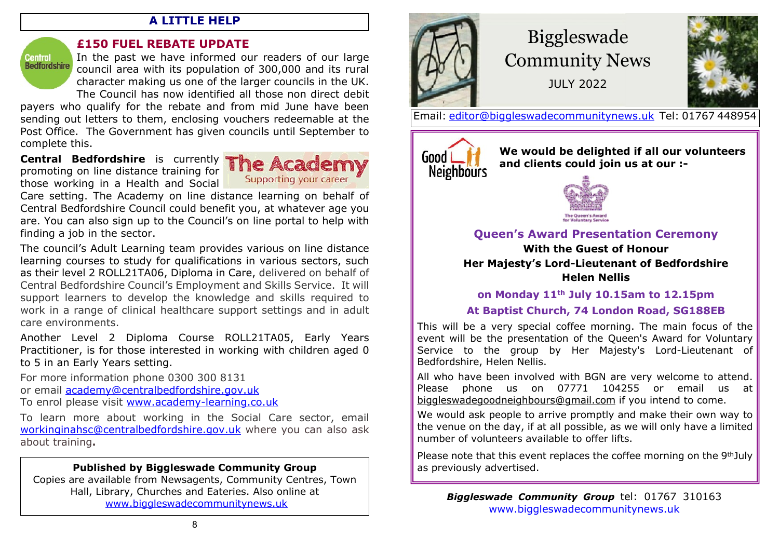## **A LITTLE HELP**

Central<br>Bedfordshire

## **£150 FUEL REBATE UPDATE**

In the past we have informed our readers of our large council area with its population of 300,000 and its rural character making us one of the larger councils in the UK. The Council has now identified all those non direct debit

payers who qualify for the rebate and from mid June have been sending out letters to them, enclosing vouchers redeemable at the Post Office. The Government has given councils until September to complete this.

**Central Bedfordshire** is currently promoting on line distance training for those working in a Health and Social



Care setting. The Academy on line distance learning on behalf of Central Bedfordshire Council could benefit you, at whatever age you are. You can also sign up to the Council's on line portal to help with finding a job in the sector.

The council's Adult Learning team provides various on line distance learning courses to study for qualifications in various sectors, such as their level 2 ROLL21TA06, Diploma in Care, delivered on behalf of Central Bedfordshire Council's Employment and Skills Service. It will support learners to develop the knowledge and skills required to work in a range of clinical healthcare support settings and in adult care environments.

Another Level 2 Diploma Course ROLL21TA05, Early Years Practitioner, is for those interested in working with children aged 0 to 5 in an Early Years setting.

For more information phone 0300 300 8131

or email [academy@centralbedfordshire.gov.uk](mailto:academy@centralbedfordshire.gov.uk)

To enrol please visit <www.academy-learning.co.uk>

To learn more about working in the Social Care sector, email [workinginahsc@centralbedfordshire.gov.uk](mailto:workinginahsc@centralbedfordshire.gov.uk) where you can also ask about training**.**

# **Published by Biggleswade Community Group**

Copies are available from Newsagents, Community Centres, Town Hall, Library, Churches and Eateries. Also online at [www.biggleswadecommunitynews.uk](www.biggleswadecommunitynews.uk )



# Biggleswade Community News

JULY 2022



Email: [editor@biggleswadecommunitynews.uk](mailto:editor@biggleswadecommunitynews.uk) Tel: 01767 448954



**We would be delighted if all our volunteers and clients could join us at our :-**



## **Queen's Award Presentation Ceremony**

**With the Guest of Honour Her Majesty's Lord-Lieutenant of Bedfordshire Helen Nellis**

**on Monday 11th July 10.15am to 12.15pm**

# **At Baptist Church, 74 London Road, SG188EB**

This will be a very special coffee morning. The main focus of the event will be the presentation of the Queen's Award for Voluntary Service to the group by Her Majesty's Lord-Lieutenant of Bedfordshire, Helen Nellis.

All who have been involved with BGN are very welcome to attend. Please phone us on 07771 104255 or email us at biggleswadegoodneighbours@gmail.com if you intend to come.

We would ask people to arrive promptly and make their own way to the venue on the day, if at all possible, as we will only have a limited number of volunteers available to offer lifts.

Please note that this event replaces the coffee morning on the 9th July as previously advertised.

*Biggleswade Community Group* tel: 01767 [3](www.biggleswadecommunitynews.uk)10163 <www.biggleswadecommunitynews.uk>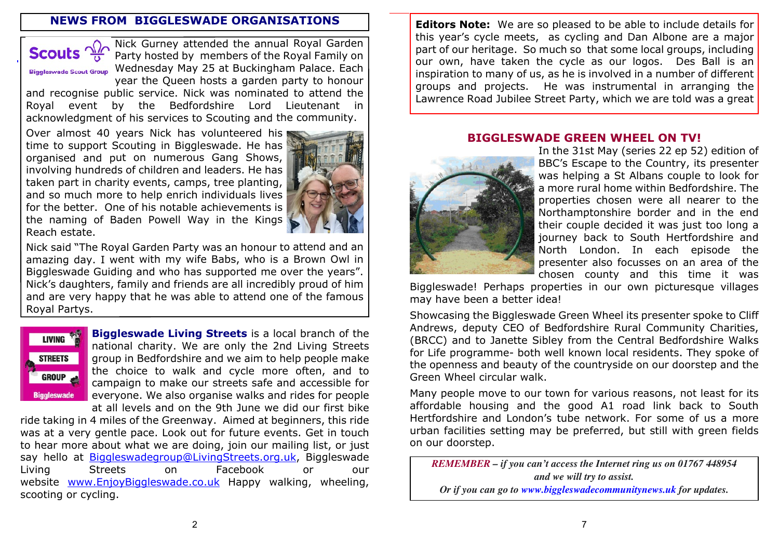## **NEWS FROM BIGGLESWADE ORGANISATIONS**



Nick Gurney attended the annual Royal Garden Party hosted by members of the Royal Family on Biggleswade Scout Group Wednesday May 25 at Buckingham Palace. Each year the Queen hosts a garden party to honour

and recognise public service. Nick was nominated to attend the Royal event by the Bedfordshire Lord Lieutenant in acknowledgment of his services to Scouting and the community.

Over almost 40 years Nick has volunteered his time to support Scouting in Biggleswade. He has organised and put on numerous Gang Shows, involving hundreds of children and leaders. He has taken part in charity events, camps, tree planting, and so much more to help enrich individuals lives for the better. One of his notable achievements is the naming of Baden Powell Way in the Kings Reach estate.



Nick said "The Royal Garden Party was an honour to attend and an amazing day. I went with my wife Babs, who is a Brown Owl in Biggleswade Guiding and who has supported me over the years". Nick's daughters, family and friends are all incredibly proud of him and are very happy that he was able to attend one of the famous Royal Partys.



**Biggleswade Living Streets** is a local branch of the national charity. We are only the 2nd Living Streets group in Bedfordshire and we aim to help people make the choice to walk and cycle more often, and to campaign to make our streets safe and accessible for everyone. We also organise walks and rides for people at all levels and on the 9th June we did our first bike

ride taking in 4 miles of the Greenway. Aimed at beginners, this ride was at a very gentle pace. Look out for future events. Get in touch to hear more about what we are doing, join our mailing list, or just say hello at <Biggleswadegroup@LivingStreets.org.uk>, Biggleswade Living Streets on Facebook or our website <www.EnjoyBiggleswade.co.uk> Happy walking, wheeling, scooting or cycling.

**Editors Note:** We are so pleased to be able to include details for this year's cycle meets, as cycling and Dan Albone are a major part of our heritage. So much so that some local groups, including our own, have taken the cycle as our logos. Des Ball is an inspiration to many of us, as he is involved in a number of different groups and projects. He was instrumental in arranging the Lawrence Road Jubilee Street Party, which we are told was a great

#### **BIGGLESWADE GREEN WHEEL ON TV!**



In the 31st May (series 22 ep 52) edition of BBC's Escape to the Country, its presenter was helping a St Albans couple to look for a more rural home within Bedfordshire. The properties chosen were all nearer to the Northamptonshire border and in the end their couple decided it was just too long a journey back to South Hertfordshire and North London. In each episode the presenter also focusses on an area of the chosen county and this time it was

Biggleswade! Perhaps properties in our own picturesque villages may have been a better idea!

Showcasing the Biggleswade Gree[n Wheel its presenter spoke to Clif](mailto:Biggleswaderotary@hotmail.com)f Andrews, deputy CEO of Bedfordshire Rural Community Charities, (BRCC) and to Janette Sibley from the Central Bedfordshire Walks for Life programme- both well known local residents. They spoke of the openness and beauty of the countryside on our doorstep and the Green Wheel circular walk.

Many people move to our town for various reasons, not least for its affordable housing and the good A1 road link back to South Hertfordshire and London's tube network. For some of us a more urban facilities setting may be preferred, but still with green fields on our doorstep.

*REMEMBER – if you [can't access the Internet ring us on 017](https://greatbiggreenweek.com)67 448954 and we will try to assist. Or if yo[u can go to](fab@fabweb.org.uk) [www.biggleswadecommunitynews.uk](https://www.biggleswadecommunitynews.uk) for updates.*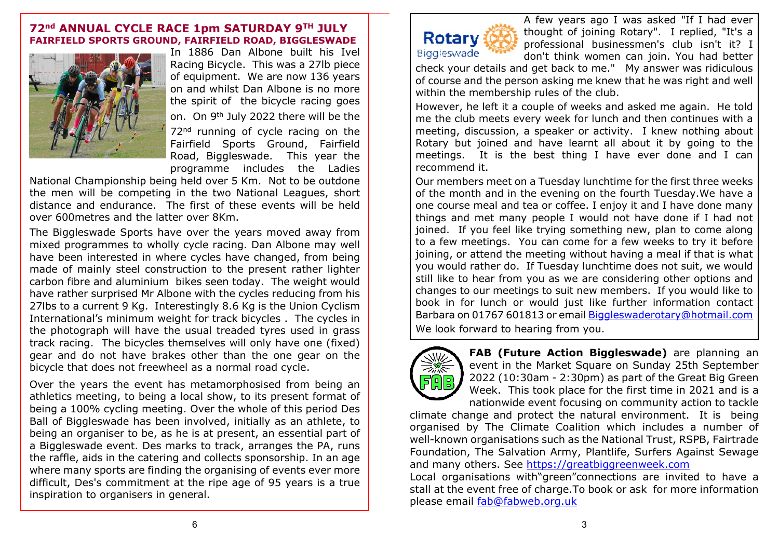#### **72nd ANNUAL CYCLE RACE 1pm SATURDAY 9TH JULY FAIRFIELD SPORTS GROUND, FAIRFIELD ROAD, BIGGLESWADE**



In 1886 Dan Albone built his Ivel Racing Bicycle. This was a 27lb piece of equipment. We are now 136 years on and whilst Dan Albone is no more the spirit of the bicycle racing goes on. On 9th July 2022 there will be the 72<sup>nd</sup> running of cycle racing on the Fairfield Sports Ground, Fairfield Road, Biggleswade. This year the programme includes the Ladies

National Championship being held over 5 Km. Not to be outdone the men will be competing in the two National Leagues, short distance and endurance. The first of these events will be held over 600metres and the latter over 8Km.

The Biggleswade Sports have over the years moved away from mixed programmes to wholly cycle racing. Dan Albone may well have been interested in where cycles have changed, from being made of mainly steel construction to the present rather lighter carbon fibre and aluminium bikes seen today. The weight would have rather surprised Mr Albone with the cycles reducing from his 27lbs to a current 9 Kg. Interestingly 8.6 Kg is the Union Cyclism International's minimum weight for track bicycles . The cycles in the photograph will have the usual treaded tyres used in grass track racing. The bicycles themselves will only have one (fixed) gear and do not have brakes other than the one gear on the bicycle that does not freewheel as a normal road cycle.

Over the years the event has metamorphosised from being an athletics meeting, to being a local show, to its present format of being a 100% cycling meeting. Over the whole of this period Des Ball of Biggleswade has been involved, initially as an athlete, to being an organiser to be, as he is at present, an essential part of a Biggleswade event. Des marks to track, arranges the PA, runs the raffle, a[ids in the catering and collects sponsorsh](Biggleswadegroup@LivingStreets.org.uk)ip. In an age where many sports are finding the organising of events ever more difficult[, Des's commitment at the rip](www.EnjoyBiggleswade.co.uk)e age of 95 years is a true inspiration to organisers in general.



A few years ago I was asked "If I had ever thought of joining Rotary". I replied, "It's a professional businessmen's club isn't it? I don't think women can join. You had better

check your details and get back to me." My answer was ridiculous of course and the person asking me knew that he was right and well within the membership rules of the club.

However, he left it a couple of weeks and asked me again. He told me the club meets every week for lunch and then continues with a meeting, discussion, a speaker or activity. I knew nothing about Rotary but joined and have learnt all about it by going to the meetings. It is the best thing I have ever done and I can recommend it.

Our members meet on a Tuesday lunchtime for the first three weeks of the month and in the evening on the fourth Tuesday.We have a one course meal and tea or coffee. I enjoy it and I have done many things and met many people I would not have done if I had not joined. If you feel like trying something new, plan to come along to a few meetings. You can come for a few weeks to try it before joining, or attend the meeting without having a meal if that is what you would rather do. If Tuesday lunchtime does not suit, we would still like to hear from you as we are considering other options and changes to our meetings to suit new members. If you would like to book in for lunch or would just like further information contact Barbara on 01767 601813 or email [Biggleswaderotary@hotmail.com](mailto:Biggleswaderotary@hotmail.com) We look forward to hearing from you.



**FAB (Future Action Biggleswade)** are planning an event in the Market Square on Sunday 25th September 2022 (10:30am - 2:30pm) as part of the Great Big Green Week. This took place for the first time in 2021 and is a nationwide event focusing on community action to tackle

climate change and protect the natural environment. It is being organised by The Climate Coalition which includes a number of well-known organisations such as the National Trust, RSPB, Fairtrade Foundation, The Salvation Army, Plantlife, Surfers Against Sewage and many others. See<https://greatbiggreenweek.com>

Local organisations with"green"connections are invited to have a stall at the event free [of charge.To book or ask for m](https://www.biggleswadecommunitynews.uk)ore information please email <fab@fabweb.org.uk>